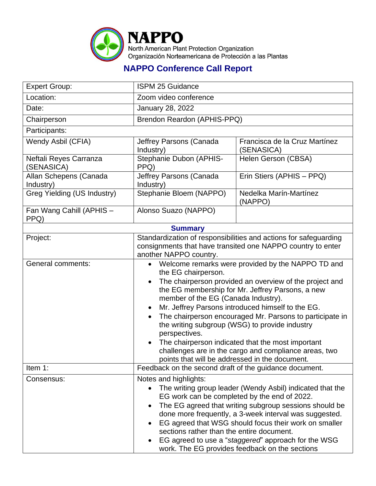

## **NAPPO Conference Call Report**

| <b>Expert Group:</b>                 | <b>ISPM 25 Guidance</b>                                                                                                                                                                                                                                                                                                                                                                                                                                                                                                                                                              |                                             |  |
|--------------------------------------|--------------------------------------------------------------------------------------------------------------------------------------------------------------------------------------------------------------------------------------------------------------------------------------------------------------------------------------------------------------------------------------------------------------------------------------------------------------------------------------------------------------------------------------------------------------------------------------|---------------------------------------------|--|
| Location:                            | Zoom video conference                                                                                                                                                                                                                                                                                                                                                                                                                                                                                                                                                                |                                             |  |
| Date:                                | <b>January 28, 2022</b>                                                                                                                                                                                                                                                                                                                                                                                                                                                                                                                                                              |                                             |  |
| Chairperson                          | Brendon Reardon (APHIS-PPQ)                                                                                                                                                                                                                                                                                                                                                                                                                                                                                                                                                          |                                             |  |
| Participants:                        |                                                                                                                                                                                                                                                                                                                                                                                                                                                                                                                                                                                      |                                             |  |
| Wendy Asbil (CFIA)                   | Jeffrey Parsons (Canada<br>Industry)                                                                                                                                                                                                                                                                                                                                                                                                                                                                                                                                                 | Francisca de la Cruz Martínez<br>(SENASICA) |  |
| Neftali Reyes Carranza<br>(SENASICA) | Stephanie Dubon (APHIS-<br>PPQ)                                                                                                                                                                                                                                                                                                                                                                                                                                                                                                                                                      | Helen Gerson (CBSA)                         |  |
| Allan Schepens (Canada<br>Industry)  | Jeffrey Parsons (Canada<br>Industry)                                                                                                                                                                                                                                                                                                                                                                                                                                                                                                                                                 | Erin Stiers (APHIS - PPQ)                   |  |
| Greg Yielding (US Industry)          | Stephanie Bloem (NAPPO)                                                                                                                                                                                                                                                                                                                                                                                                                                                                                                                                                              | Nedelka Marín-Martínez<br>(NAPPO)           |  |
| Fan Wang Cahill (APHIS -<br>PPQ)     | Alonso Suazo (NAPPO)                                                                                                                                                                                                                                                                                                                                                                                                                                                                                                                                                                 |                                             |  |
| <b>Summary</b>                       |                                                                                                                                                                                                                                                                                                                                                                                                                                                                                                                                                                                      |                                             |  |
| Project:                             | Standardization of responsibilities and actions for safeguarding<br>consignments that have transited one NAPPO country to enter<br>another NAPPO country.                                                                                                                                                                                                                                                                                                                                                                                                                            |                                             |  |
| <b>General comments:</b>             | • Welcome remarks were provided by the NAPPO TD and<br>the EG chairperson.<br>The chairperson provided an overview of the project and<br>the EG membership for Mr. Jeffrey Parsons, a new<br>member of the EG (Canada Industry).<br>Mr. Jeffrey Parsons introduced himself to the EG.<br>The chairperson encouraged Mr. Parsons to participate in<br>the writing subgroup (WSG) to provide industry<br>perspectives.<br>The chairperson indicated that the most important<br>challenges are in the cargo and compliance areas, two<br>points that will be addressed in the document. |                                             |  |
| Item 1:                              | Feedback on the second draft of the guidance document.                                                                                                                                                                                                                                                                                                                                                                                                                                                                                                                               |                                             |  |
| Consensus:                           | Notes and highlights:<br>The writing group leader (Wendy Asbil) indicated that the<br>EG work can be completed by the end of 2022.<br>The EG agreed that writing subgroup sessions should be<br>done more frequently, a 3-week interval was suggested.<br>EG agreed that WSG should focus their work on smaller<br>sections rather than the entire document.<br>EG agreed to use a "staggered" approach for the WSG<br>work. The EG provides feedback on the sections                                                                                                                |                                             |  |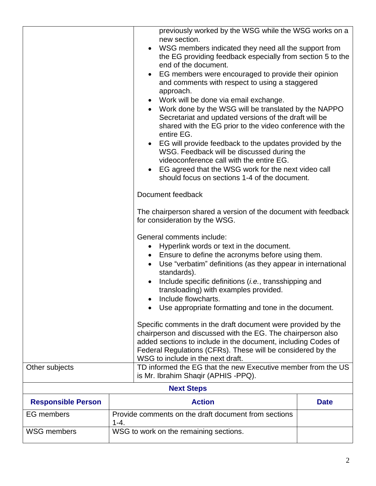| Other subjects            | previously worked by the WSG while the WSG works on a<br>new section.<br>WSG members indicated they need all the support from<br>the EG providing feedback especially from section 5 to the<br>end of the document.<br>EG members were encouraged to provide their opinion<br>and comments with respect to using a staggered<br>approach.<br>Work will be done via email exchange.<br>$\bullet$<br>Work done by the WSG will be translated by the NAPPO<br>$\bullet$<br>Secretariat and updated versions of the draft will be<br>shared with the EG prior to the video conference with the<br>entire EG.<br>EG will provide feedback to the updates provided by the<br>$\bullet$<br>WSG. Feedback will be discussed during the<br>videoconference call with the entire EG.<br>EG agreed that the WSG work for the next video call<br>$\bullet$<br>should focus on sections 1-4 of the document.<br>Document feedback<br>The chairperson shared a version of the document with feedback<br>for consideration by the WSG.<br>General comments include:<br>Hyperlink words or text in the document.<br>$\bullet$<br>Ensure to define the acronyms before using them.<br>$\bullet$<br>Use "verbatim" definitions (as they appear in international<br>$\bullet$<br>standards).<br>Include specific definitions <i>(i.e., transshipping and</i><br>$\bullet$<br>transloading) with examples provided.<br>Include flowcharts.<br>Use appropriate formatting and tone in the document.<br>Specific comments in the draft document were provided by the<br>chairperson and discussed with the EG. The chairperson also<br>added sections to include in the document, including Codes of<br>Federal Regulations (CFRs). These will be considered by the<br>WSG to include in the next draft. |             |  |
|---------------------------|------------------------------------------------------------------------------------------------------------------------------------------------------------------------------------------------------------------------------------------------------------------------------------------------------------------------------------------------------------------------------------------------------------------------------------------------------------------------------------------------------------------------------------------------------------------------------------------------------------------------------------------------------------------------------------------------------------------------------------------------------------------------------------------------------------------------------------------------------------------------------------------------------------------------------------------------------------------------------------------------------------------------------------------------------------------------------------------------------------------------------------------------------------------------------------------------------------------------------------------------------------------------------------------------------------------------------------------------------------------------------------------------------------------------------------------------------------------------------------------------------------------------------------------------------------------------------------------------------------------------------------------------------------------------------------------------------------------------------------------------------------------------------------|-------------|--|
|                           | TD informed the EG that the new Executive member from the US<br>is Mr. Ibrahim Shaqir (APHIS -PPQ).                                                                                                                                                                                                                                                                                                                                                                                                                                                                                                                                                                                                                                                                                                                                                                                                                                                                                                                                                                                                                                                                                                                                                                                                                                                                                                                                                                                                                                                                                                                                                                                                                                                                                |             |  |
| <b>Next Steps</b>         |                                                                                                                                                                                                                                                                                                                                                                                                                                                                                                                                                                                                                                                                                                                                                                                                                                                                                                                                                                                                                                                                                                                                                                                                                                                                                                                                                                                                                                                                                                                                                                                                                                                                                                                                                                                    |             |  |
| <b>Responsible Person</b> | <b>Action</b>                                                                                                                                                                                                                                                                                                                                                                                                                                                                                                                                                                                                                                                                                                                                                                                                                                                                                                                                                                                                                                                                                                                                                                                                                                                                                                                                                                                                                                                                                                                                                                                                                                                                                                                                                                      | <b>Date</b> |  |
| <b>EG</b> members         | Provide comments on the draft document from sections<br>$1 - 4.$                                                                                                                                                                                                                                                                                                                                                                                                                                                                                                                                                                                                                                                                                                                                                                                                                                                                                                                                                                                                                                                                                                                                                                                                                                                                                                                                                                                                                                                                                                                                                                                                                                                                                                                   |             |  |
| <b>WSG members</b>        | WSG to work on the remaining sections.                                                                                                                                                                                                                                                                                                                                                                                                                                                                                                                                                                                                                                                                                                                                                                                                                                                                                                                                                                                                                                                                                                                                                                                                                                                                                                                                                                                                                                                                                                                                                                                                                                                                                                                                             |             |  |